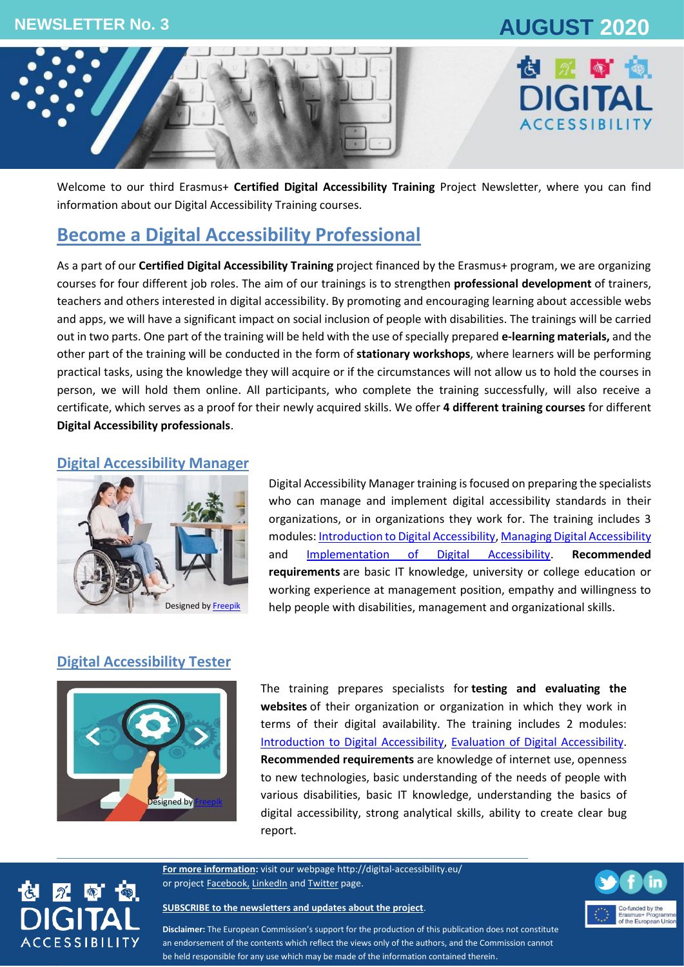# **NEWSLETTER No. 3 AUGUST 2020**





Welcome to our third Erasmus+ **Certified Digital Accessibility Training** Project Newsletter, where you can find information about our Digital Accessibility Training courses.

## **Become a Digital Accessibility Professional**

As a part of our **Certified Digital Accessibility Training** project financed by the Erasmus+ program, we are organizing courses for four different job roles. The aim of our trainings is to strengthen **professional development** of trainers, teachers and others interested in digital accessibility. By promoting and encouraging learning about accessible webs and apps, we will have a significant impact on social inclusion of people with disabilities. The trainings will be carried out in two parts. One part of the training will be held with the use of specially prepared **e-learning materials,** and the other part of the training will be conducted in the form of **stationary workshops**, where learners will be performing practical tasks, using the knowledge they will acquire or if the circumstances will not allow us to hold the courses in person, we will hold them online. All participants, who complete the training successfully, will also receive a certificate, which serves as a proof for their newly acquired skills. We offer **4 different training courses** for different **Digital Accessibility professionals**.

### **Digital Accessibility Manager**



Digital Accessibility Manager training is focused on preparing the specialists who can manage and implement digital accessibility standards in their organizations, or in organizations they work for. The training includes 3 modules[: Introduction to Digital Accessibility,](http://digital-accessibility.eu/learn/course/view.php?id=2) [Managing Digital Accessibility](http://digital-accessibility.eu/learn/course/view.php?id=3) and [Implementation of Digital Accessibility.](http://digital-accessibility.eu/learn/course/view.php?id=6) **Recommended requirements** are basic IT knowledge, university or college education or working experience at management position, empathy and willingness to help people with disabilities, management and organizational skills.

## **Digital Accessibility Tester**



 $2 - 1$ 

**CCESSIBILIT** 

The training prepares specialists for **testing and evaluating the websites** of their organization or organization in which they work in terms of their digital availability. The training includes 2 modules: [Introduction to Digital Ac](http://digital-accessibility.eu/learn/course/view.php?id=2)cessibility, [Evaluation of Digital Ac](http://digital-accessibility.eu/learn/course/view.php?id=7)cessibility. **Recommended requirements** are knowledge of internet use, openness to new technologies, basic understanding of the needs of people with various disabilities, basic IT knowledge, understanding the basics of digital accessibility, strong analytical skills, ability to create clear bug report.

**For more information:** visit our webpage<http://digital-accessibility.eu/> or project [Facebook,](https://www.facebook.com/digitalaccessibilityproject/) [LinkedIn](https://www.linkedin.com/company/e-digital-accessibility-project-certified-digital-accessibility-training/) an[d Twitter](https://twitter.com/Martika94700976) page.

#### **[SUBSCRIBE to the newsletters and updates about the project](http://eepurl.com/gGyCET)**.



**Disclaimer:** The European Commission's support for the production of this publication does not constitute an endorsement of the contents which reflect the views only of the authors, and the Commission cannot be held responsible for any use which may be made of the information contained therein.